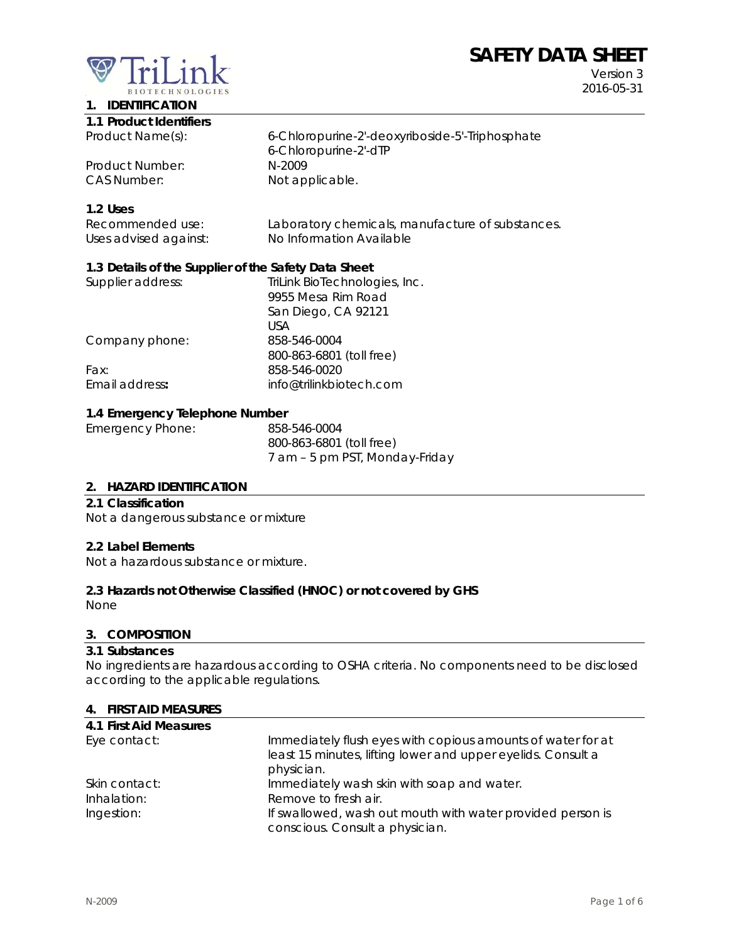# **SAFETY DATA SHEET**



**1. IDENTIFICATION** 

Version 3 2016-05-31

| 1.1 Product Identifiers |                                                 |
|-------------------------|-------------------------------------------------|
| Product Name(s):        | 6-Chloropurine-2'-deoxyriboside-5'-Triphosphate |
|                         | 6-Chloropurine-2'-dTP                           |
| Product Number:         | N-2009                                          |
| <b>CAS Number:</b>      | Not applicable.                                 |

# **1.2 Uses**

| Recommended use:      | Laboratory chemicals, manufacture of substances. |
|-----------------------|--------------------------------------------------|
| Uses advised against: | No Information Available                         |

#### **1.3 Details of the Supplier of the Safety Data Sheet**

| Supplier address: | TriLink BioTechnologies, Inc. |
|-------------------|-------------------------------|
|                   | 9955 Mesa Rim Road            |
|                   | San Diego, CA 92121           |
|                   | USA                           |
| Company phone:    | 858-546-0004                  |
|                   | 800-863-6801 (toll free)      |
| Fax:              | 858-546-0020                  |
| Email address:    | info@trilinkbiotech.com       |
|                   |                               |

# **1.4 Emergency Telephone Number**

| Emergency Phone: | 858-546-0004                   |
|------------------|--------------------------------|
|                  | 800-863-6801 (toll free)       |
|                  | 7 am - 5 pm PST, Monday-Friday |

#### **2. HAZARD IDENTIFICATION**

#### **2.1 Classification**

Not a dangerous substance or mixture

#### **2.2 Label Elements**

Not a hazardous substance or mixture.

# **2.3 Hazards not Otherwise Classified (HNOC) or not covered by GHS**

None

# **3. COMPOSITION**

#### **3.1 Substances**

No ingredients are hazardous according to OSHA criteria. No components need to be disclosed according to the applicable regulations.

#### **4. FIRST AID MEASURES**

| 4.1 First Aid Measures |                                                              |
|------------------------|--------------------------------------------------------------|
| Eye contact:           | Immediately flush eyes with copious amounts of water for at  |
|                        | least 15 minutes, lifting lower and upper eyelids. Consult a |
|                        | physician.                                                   |
| Skin contact:          | Immediately wash skin with soap and water.                   |
| Inhalation:            | Remove to fresh air.                                         |
| Ingestion:             | If swallowed, wash out mouth with water provided person is   |
|                        | conscious. Consult a physician.                              |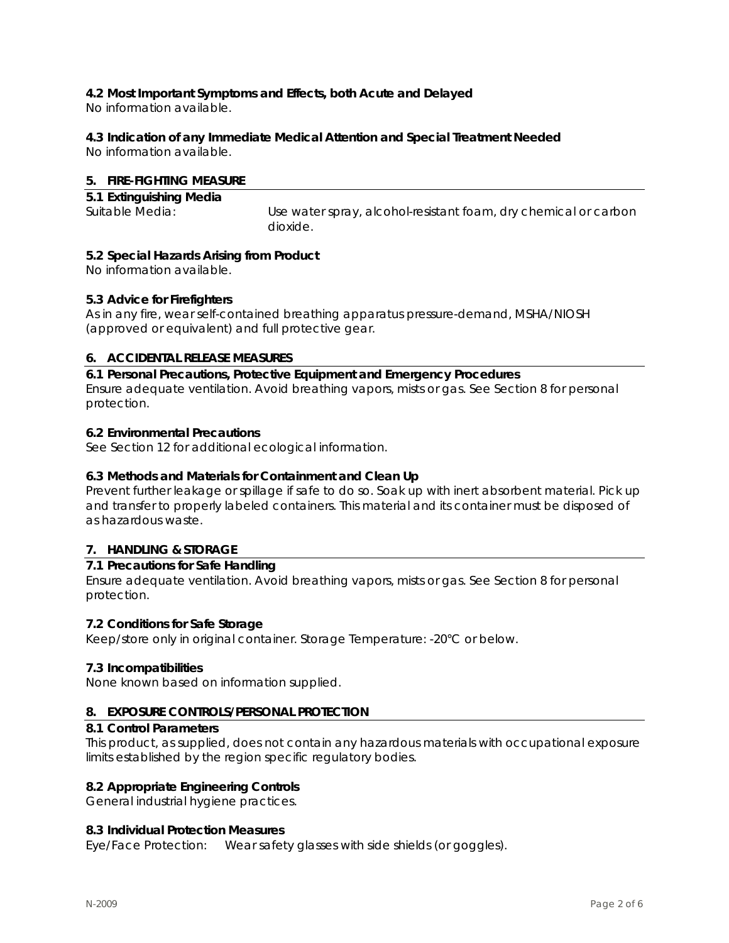# **4.2 Most Important Symptoms and Effects, both Acute and Delayed**

No information available.

# **4.3 Indication of any Immediate Medical Attention and Special Treatment Needed**

No information available.

# **5. FIRE-FIGHTING MEASURE**

| 5.1 Extinguishing Media |                                                                 |
|-------------------------|-----------------------------------------------------------------|
| Suitable Media:         | Use water spray, alcohol-resistant foam, dry chemical or carbon |
|                         | dioxide.                                                        |

# **5.2 Special Hazards Arising from Product**

No information available.

# **5.3 Advice for Firefighters**

As in any fire, wear self-contained breathing apparatus pressure-demand, MSHA/NIOSH (approved or equivalent) and full protective gear.

# **6. ACCIDENTAL RELEASE MEASURES**

**6.1 Personal Precautions, Protective Equipment and Emergency Procedures**  Ensure adequate ventilation. Avoid breathing vapors, mists or gas. See Section 8 for personal protection.

# **6.2 Environmental Precautions**

See Section 12 for additional ecological information.

# **6.3 Methods and Materials for Containment and Clean Up**

Prevent further leakage or spillage if safe to do so. Soak up with inert absorbent material. Pick up and transfer to properly labeled containers. This material and its container must be disposed of as hazardous waste.

# **7. HANDLING & STORAGE**

# **7.1 Precautions for Safe Handling**

Ensure adequate ventilation. Avoid breathing vapors, mists or gas. See Section 8 for personal protection.

# **7.2 Conditions for Safe Storage**

Keep/store only in original container. Storage Temperature: -20°C or below.

# **7.3 Incompatibilities**

None known based on information supplied.

# **8. EXPOSURE CONTROLS/PERSONAL PROTECTION**

#### **8.1 Control Parameters**

This product, as supplied, does not contain any hazardous materials with occupational exposure limits established by the region specific regulatory bodies.

# **8.2 Appropriate Engineering Controls**

General industrial hygiene practices.

# **8.3 Individual Protection Measures**

Eye/Face Protection: Wear safety glasses with side shields (or goggles).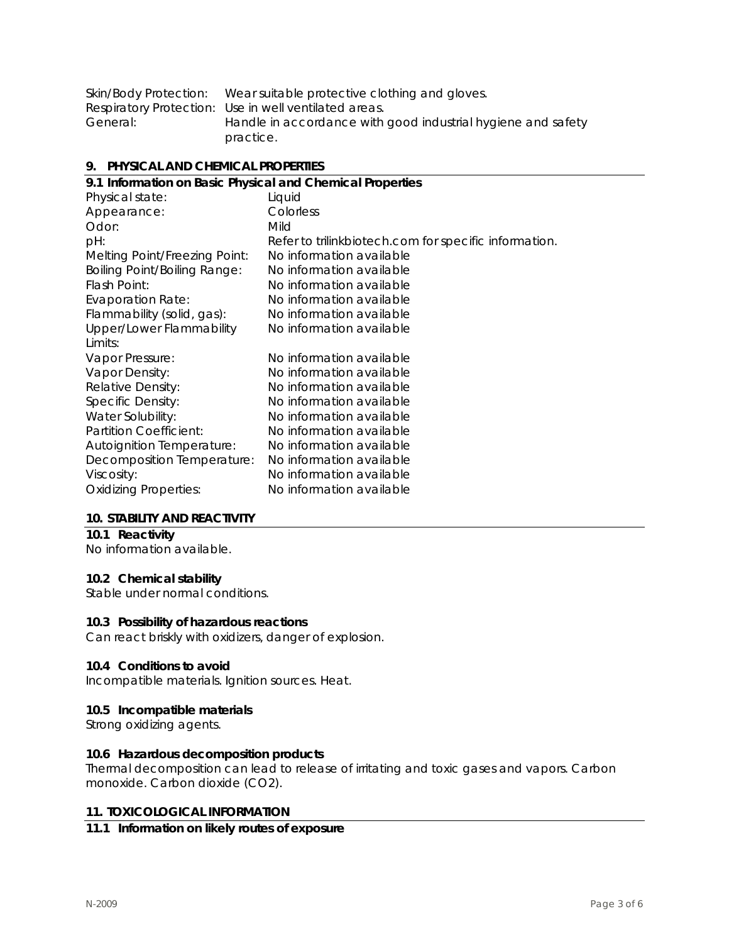|          | Skin/Body Protection: Wear suitable protective clothing and gloves. |
|----------|---------------------------------------------------------------------|
|          | Respiratory Protection: Use in well ventilated areas.               |
| General: | Handle in accordance with good industrial hygiene and safety        |
|          | practice.                                                           |

#### **9. PHYSICAL AND CHEMICAL PROPERTIES**

| 9.1 Information on Basic Physical and Chemical Properties |                                                       |  |  |
|-----------------------------------------------------------|-------------------------------------------------------|--|--|
| Physical state:                                           | Liquid                                                |  |  |
| Appearance:                                               | Colorless                                             |  |  |
| Odor:                                                     | Mild                                                  |  |  |
| pH:                                                       | Refer to trilinkbiotech.com for specific information. |  |  |
| Melting Point/Freezing Point:                             | No information available                              |  |  |
| <b>Boiling Point/Boiling Range:</b>                       | No information available                              |  |  |
| Flash Point:                                              | No information available                              |  |  |
| <b>Evaporation Rate:</b>                                  | No information available                              |  |  |
| Flammability (solid, gas):                                | No information available                              |  |  |
| Upper/Lower Flammability                                  | No information available                              |  |  |
| Limits:                                                   |                                                       |  |  |
| Vapor Pressure:                                           | No information available                              |  |  |
| Vapor Density:                                            | No information available                              |  |  |
| Relative Density:                                         | No information available                              |  |  |
| Specific Density:                                         | No information available                              |  |  |
| Water Solubility:                                         | No information available                              |  |  |
| Partition Coefficient:                                    | No information available                              |  |  |
| <b>Autoignition Temperature:</b>                          | No information available                              |  |  |
| Decomposition Temperature:                                | No information available                              |  |  |
| Viscosity:                                                | No information available                              |  |  |
| <b>Oxidizing Properties:</b>                              | No information available                              |  |  |
|                                                           |                                                       |  |  |

#### **10. STABILITY AND REACTIVITY**

# **10.1 Reactivity**

No information available.

# **10.2 Chemical stability**

Stable under normal conditions.

# **10.3 Possibility of hazardous reactions**

Can react briskly with oxidizers, danger of explosion.

#### **10.4 Conditions to avoid**

Incompatible materials. Ignition sources. Heat.

#### **10.5 Incompatible materials**

Strong oxidizing agents.

#### **10.6 Hazardous decomposition products**

Thermal decomposition can lead to release of irritating and toxic gases and vapors. Carbon monoxide. Carbon dioxide (CO2).

# **11. TOXICOLOGICAL INFORMATION**

# **11.1 Information on likely routes of exposure**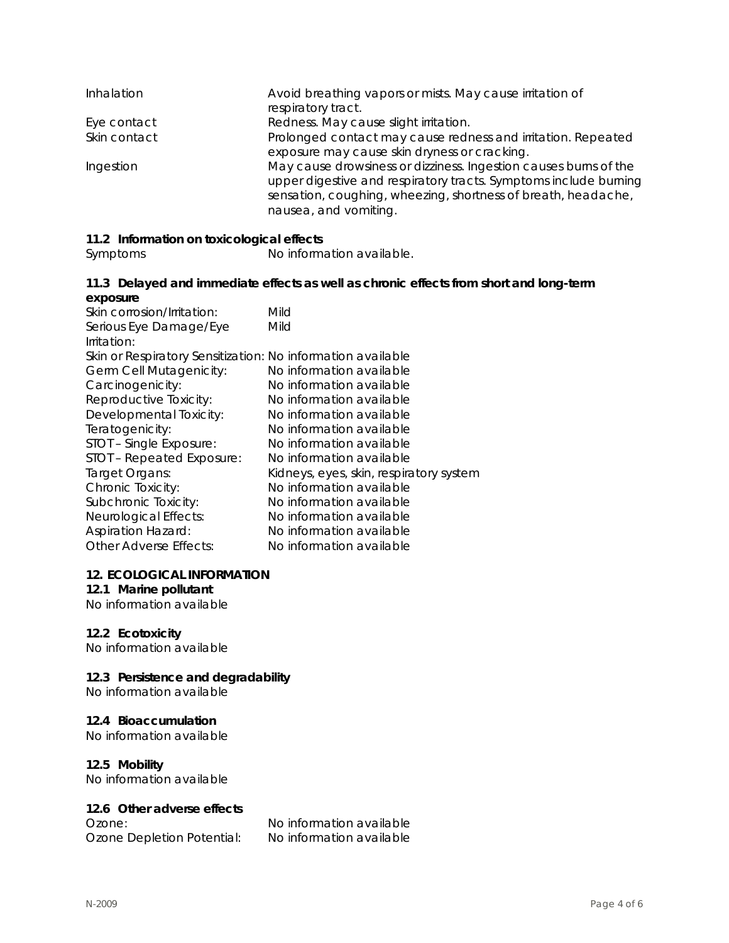| Inhalation   | Avoid breathing vapors or mists. May cause irritation of<br>respiratory tract.                                                                                                                                                 |
|--------------|--------------------------------------------------------------------------------------------------------------------------------------------------------------------------------------------------------------------------------|
| Eye contact  | Redness. May cause slight irritation.                                                                                                                                                                                          |
| Skin contact | Prolonged contact may cause redness and irritation. Repeated<br>exposure may cause skin dryness or cracking.                                                                                                                   |
| Ingestion    | May cause drowsiness or dizziness. Ingestion causes burns of the<br>upper digestive and respiratory tracts. Symptoms include burning<br>sensation, coughing, wheezing, shortness of breath, headache,<br>nausea, and vomiting. |

# **11.2 Information on toxicological effects**

Symptoms No information available.

# **11.3 Delayed and immediate effects as well as chronic effects from short and long-term exposure**

| Skin corrosion/Irritation:                                  | Mild                                    |
|-------------------------------------------------------------|-----------------------------------------|
| Serious Eye Damage/Eye                                      | Mild                                    |
| Irritation:                                                 |                                         |
| Skin or Respiratory Sensitization: No information available |                                         |
| Germ Cell Mutagenicity:                                     | No information available                |
| Carcinogenicity:                                            | No information available                |
| Reproductive Toxicity:                                      | No information available                |
| Developmental Toxicity:                                     | No information available                |
| Teratogenicity:                                             | No information available                |
| STOT - Single Exposure:                                     | No information available                |
| STOT - Repeated Exposure:                                   | No information available                |
| Target Organs:                                              | Kidneys, eyes, skin, respiratory system |
| Chronic Toxicity:                                           | No information available                |
| Subchronic Toxicity:                                        | No information available                |
| Neurological Effects:                                       | No information available                |
| <b>Aspiration Hazard:</b>                                   | No information available                |
| Other Adverse Effects:                                      | No information available                |

#### **12. ECOLOGICAL INFORMATION**

# **12.1 Marine pollutant**

No information available

# **12.2 Ecotoxicity**

No information available

# **12.3 Persistence and degradability**

No information available

# **12.4 Bioaccumulation**

No information available

# **12.5 Mobility**

No information available

# **12.6 Other adverse effects**

Ozone Depletion Potential: No information available

Ozone: No information available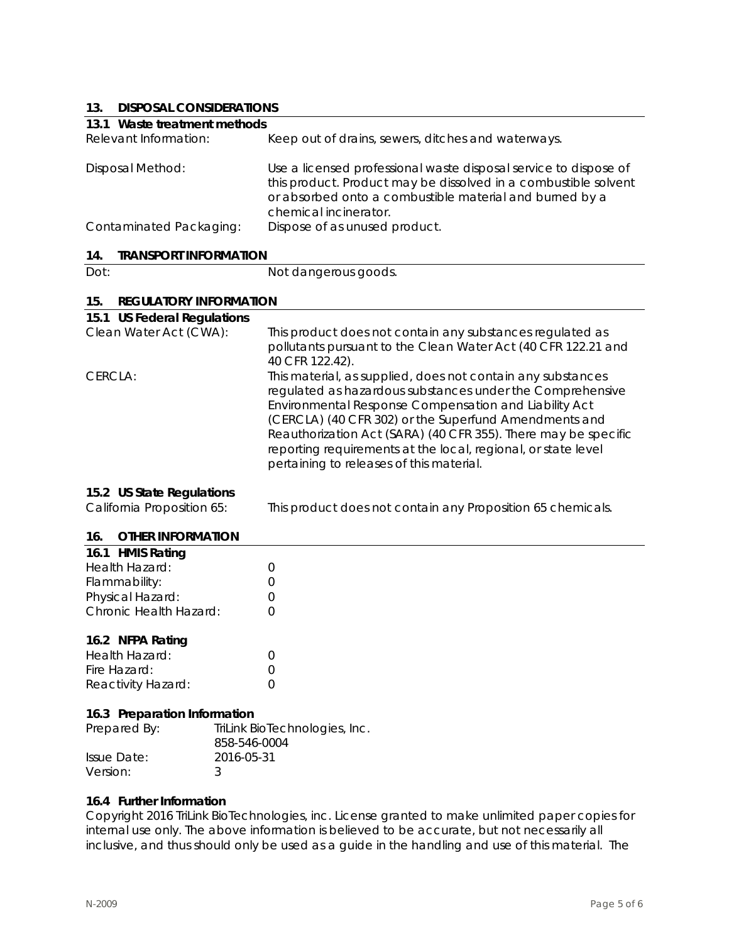# **13. DISPOSAL CONSIDERATIONS**

| 19.<br><b>DISPOSAL CONSIDERATIONS</b>                   |                                                                                                                                                                                                                                                                                                                                                                                                                           |
|---------------------------------------------------------|---------------------------------------------------------------------------------------------------------------------------------------------------------------------------------------------------------------------------------------------------------------------------------------------------------------------------------------------------------------------------------------------------------------------------|
| 13.1 Waste treatment methods                            |                                                                                                                                                                                                                                                                                                                                                                                                                           |
| Relevant Information:                                   | Keep out of drains, sewers, ditches and waterways.                                                                                                                                                                                                                                                                                                                                                                        |
| Disposal Method:                                        | Use a licensed professional waste disposal service to dispose of<br>this product. Product may be dissolved in a combustible solvent<br>or absorbed onto a combustible material and burned by a<br>chemical incinerator.                                                                                                                                                                                                   |
| Contaminated Packaging:                                 | Dispose of as unused product.                                                                                                                                                                                                                                                                                                                                                                                             |
| 14.<br><b>TRANSPORT INFORMATION</b>                     |                                                                                                                                                                                                                                                                                                                                                                                                                           |
| Dot:                                                    | Not dangerous goods.                                                                                                                                                                                                                                                                                                                                                                                                      |
|                                                         |                                                                                                                                                                                                                                                                                                                                                                                                                           |
| 15.<br><b>REGULATORY INFORMATION</b>                    |                                                                                                                                                                                                                                                                                                                                                                                                                           |
| 15.1 US Federal Regulations                             |                                                                                                                                                                                                                                                                                                                                                                                                                           |
| Clean Water Act (CWA):                                  | This product does not contain any substances regulated as<br>pollutants pursuant to the Clean Water Act (40 CFR 122.21 and<br>40 CFR 122.42).                                                                                                                                                                                                                                                                             |
| CERCLA:                                                 | This material, as supplied, does not contain any substances<br>regulated as hazardous substances under the Comprehensive<br>Environmental Response Compensation and Liability Act<br>(CERCLA) (40 CFR 302) or the Superfund Amendments and<br>Reauthorization Act (SARA) (40 CFR 355). There may be specific<br>reporting requirements at the local, regional, or state level<br>pertaining to releases of this material. |
| 15.2 US State Regulations<br>California Proposition 65: | This product does not contain any Proposition 65 chemicals.                                                                                                                                                                                                                                                                                                                                                               |
| <b>OTHER INFORMATION</b><br>16.                         |                                                                                                                                                                                                                                                                                                                                                                                                                           |
|                                                         |                                                                                                                                                                                                                                                                                                                                                                                                                           |

| 16.1 HMIS Rating       |                  |
|------------------------|------------------|
| Health Hazard:         | $\left( \right)$ |
| Flammability:          | $\left( \right)$ |
| Physical Hazard:       | $\left( \right)$ |
| Chronic Health Hazard: | $\left( \right)$ |
|                        |                  |

# **16.2 NFPA Rating**

| Health Hazard:     |  |
|--------------------|--|
| Fire Hazard:       |  |
| Reactivity Hazard: |  |

#### **16.3 Preparation Information**

| Prepared By: | TriLink BioTechnologies, Inc.<br>858-546-0004 |
|--------------|-----------------------------------------------|
| Issue Date:  | 2016-05-31                                    |
| Version:     |                                               |

# **16.4 Further Information**

Copyright 2016 TriLink BioTechnologies, inc. License granted to make unlimited paper copies for internal use only. The above information is believed to be accurate, but not necessarily all inclusive, and thus should only be used as a guide in the handling and use of this material. The